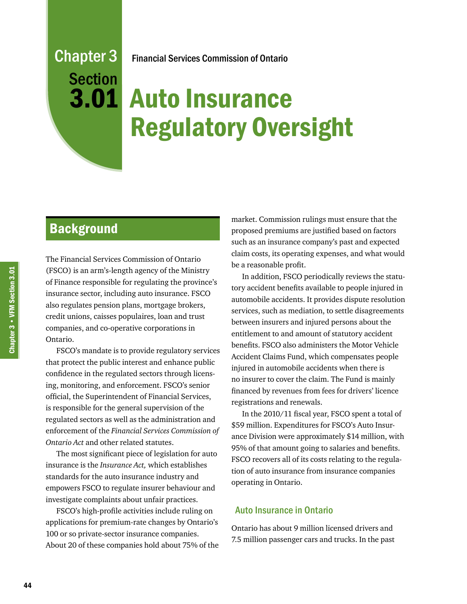# Chapter 3 **Section** Financial Services Commission of Ontario

# Auto Insurance 3.01 Regulatory Oversight

# **Background**

The Financial Services Commission of Ontario (FSCO) is an arm's-length agency of the Ministry of Finance responsible for regulating the province's insurance sector, including auto insurance. FSCO also regulates pension plans, mortgage brokers, credit unions, caisses populaires, loan and trust companies, and co-operative corporations in Ontario.

FSCO's mandate is to provide regulatory services that protect the public interest and enhance public confidence in the regulated sectors through licensing, monitoring, and enforcement. FSCO's senior official, the Superintendent of Financial Services, is responsible for the general supervision of the regulated sectors as well as the administration and enforcement of the *Financial Services Commission of Ontario Act* and other related statutes.

The most significant piece of legislation for auto insurance is the *Insurance Act,* which establishes standards for the auto insurance industry and empowers FSCO to regulate insurer behaviour and investigate complaints about unfair practices.

FSCO's high-profile activities include ruling on applications for premium-rate changes by Ontario's 100 or so private-sector insurance companies. About 20 of these companies hold about 75% of the market. Commission rulings must ensure that the proposed premiums are justified based on factors such as an insurance company's past and expected claim costs, its operating expenses, and what would be a reasonable profit.

In addition, FSCO periodically reviews the statutory accident benefits available to people injured in automobile accidents. It provides dispute resolution services, such as mediation, to settle disagreements between insurers and injured persons about the entitlement to and amount of statutory accident benefits. FSCO also administers the Motor Vehicle Accident Claims Fund, which compensates people injured in automobile accidents when there is no insurer to cover the claim. The Fund is mainly financed by revenues from fees for drivers' licence registrations and renewals.

In the 2010/11 fiscal year, FSCO spent a total of \$59 million. Expenditures for FSCO's Auto Insurance Division were approximately \$14 million, with 95% of that amount going to salaries and benefits. FSCO recovers all of its costs relating to the regulation of auto insurance from insurance companies operating in Ontario.

#### Auto Insurance in Ontario

Ontario has about 9 million licensed drivers and 7.5 million passenger cars and trucks. In the past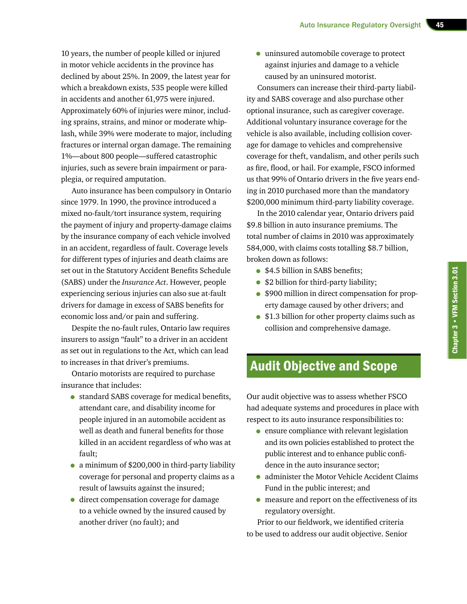10 years, the number of people killed or injured in motor vehicle accidents in the province has declined by about 25%. In 2009, the latest year for which a breakdown exists, 535 people were killed in accidents and another 61,975 were injured. Approximately 60% of injuries were minor, including sprains, strains, and minor or moderate whiplash, while 39% were moderate to major, including fractures or internal organ damage. The remaining 1%—about 800 people—suffered catastrophic injuries, such as severe brain impairment or paraplegia, or required amputation.

Auto insurance has been compulsory in Ontario since 1979. In 1990, the province introduced a mixed no-fault/tort insurance system, requiring the payment of injury and property-damage claims by the insurance company of each vehicle involved in an accident, regardless of fault. Coverage levels for different types of injuries and death claims are set out in the Statutory Accident Benefits Schedule (SABS) under the *Insurance Act*. However, people experiencing serious injuries can also sue at-fault drivers for damage in excess of SABS benefits for economic loss and/or pain and suffering.

Despite the no-fault rules, Ontario law requires insurers to assign "fault" to a driver in an accident as set out in regulations to the Act, which can lead to increases in that driver's premiums.

Ontario motorists are required to purchase insurance that includes:

- standard SABS coverage for medical benefits, attendant care, and disability income for people injured in an automobile accident as well as death and funeral benefits for those killed in an accident regardless of who was at fault;
- a minimum of \$200,000 in third-party liability coverage for personal and property claims as a result of lawsuits against the insured;
- direct compensation coverage for damage to a vehicle owned by the insured caused by another driver (no fault); and

• uninsured automobile coverage to protect against injuries and damage to a vehicle caused by an uninsured motorist.

Consumers can increase their third-party liability and SABS coverage and also purchase other optional insurance, such as caregiver coverage. Additional voluntary insurance coverage for the vehicle is also available, including collision coverage for damage to vehicles and comprehensive coverage for theft, vandalism, and other perils such as fire, flood, or hail. For example, FSCO informed us that 99% of Ontario drivers in the five years ending in 2010 purchased more than the mandatory \$200,000 minimum third-party liability coverage.

In the 2010 calendar year, Ontario drivers paid \$9.8 billion in auto insurance premiums. The total number of claims in 2010 was approximately 584,000, with claims costs totalling \$8.7 billion, broken down as follows:

- \$4.5 billion in SABS benefits;
- \$2 billion for third-party liability;
- \$900 million in direct compensation for property damage caused by other drivers; and
- \$1.3 billion for other property claims such as collision and comprehensive damage.

# Audit Objective and Scope

Our audit objective was to assess whether FSCO had adequate systems and procedures in place with respect to its auto insurance responsibilities to:

- ensure compliance with relevant legislation and its own policies established to protect the public interest and to enhance public confidence in the auto insurance sector;
- administer the Motor Vehicle Accident Claims Fund in the public interest; and
- measure and report on the effectiveness of its regulatory oversight.

Prior to our fieldwork, we identified criteria to be used to address our audit objective. Senior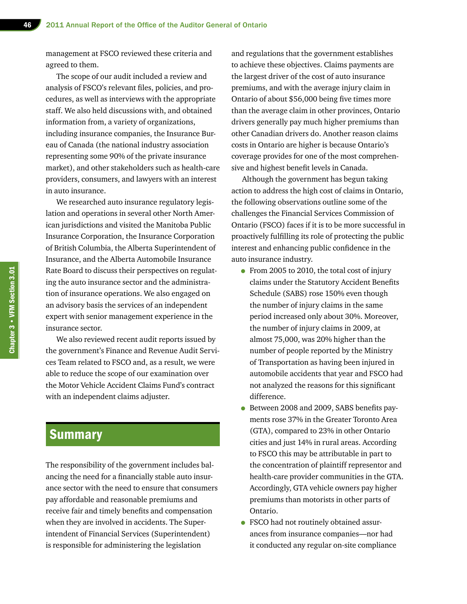management at FSCO reviewed these criteria and agreed to them.

The scope of our audit included a review and analysis of FSCO's relevant files, policies, and procedures, as well as interviews with the appropriate staff. We also held discussions with, and obtained information from, a variety of organizations, including insurance companies, the Insurance Bureau of Canada (the national industry association representing some 90% of the private insurance market), and other stakeholders such as health-care providers, consumers, and lawyers with an interest in auto insurance.

We researched auto insurance regulatory legislation and operations in several other North American jurisdictions and visited the Manitoba Public Insurance Corporation, the Insurance Corporation of British Columbia, the Alberta Superintendent of Insurance, and the Alberta Automobile Insurance Rate Board to discuss their perspectives on regulating the auto insurance sector and the administration of insurance operations. We also engaged on an advisory basis the services of an independent expert with senior management experience in the insurance sector.

We also reviewed recent audit reports issued by the government's Finance and Revenue Audit Services Team related to FSCO and, as a result, we were able to reduce the scope of our examination over the Motor Vehicle Accident Claims Fund's contract with an independent claims adjuster.

# **Summary**

The responsibility of the government includes balancing the need for a financially stable auto insurance sector with the need to ensure that consumers pay affordable and reasonable premiums and receive fair and timely benefits and compensation when they are involved in accidents. The Superintendent of Financial Services (Superintendent) is responsible for administering the legislation

and regulations that the government establishes to achieve these objectives. Claims payments are the largest driver of the cost of auto insurance premiums, and with the average injury claim in Ontario of about \$56,000 being five times more than the average claim in other provinces, Ontario drivers generally pay much higher premiums than other Canadian drivers do. Another reason claims costs in Ontario are higher is because Ontario's coverage provides for one of the most comprehensive and highest benefit levels in Canada.

Although the government has begun taking action to address the high cost of claims in Ontario, the following observations outline some of the challenges the Financial Services Commission of Ontario (FSCO) faces if it is to be more successful in proactively fulfilling its role of protecting the public interest and enhancing public confidence in the auto insurance industry.

- From 2005 to 2010, the total cost of injury claims under the Statutory Accident Benefits Schedule (SABS) rose 150% even though the number of injury claims in the same period increased only about 30%. Moreover, the number of injury claims in 2009, at almost 75,000, was 20% higher than the number of people reported by the Ministry of Transportation as having been injured in automobile accidents that year and FSCO had not analyzed the reasons for this significant difference.
- Between 2008 and 2009, SABS benefits payments rose 37% in the Greater Toronto Area (GTA), compared to 23% in other Ontario cities and just 14% in rural areas. According to FSCO this may be attributable in part to the concentration of plaintiff representor and health-care provider communities in the GTA. Accordingly, GTA vehicle owners pay higher premiums than motorists in other parts of Ontario.
- FSCO had not routinely obtained assurances from insurance companies—nor had it conducted any regular on-site compliance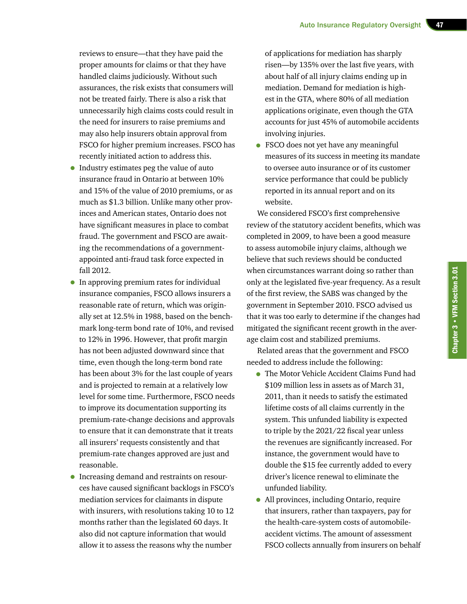reviews to ensure—that they have paid the proper amounts for claims or that they have handled claims judiciously. Without such assurances, the risk exists that consumers will not be treated fairly. There is also a risk that unnecessarily high claims costs could result in the need for insurers to raise premiums and may also help insurers obtain approval from FSCO for higher premium increases. FSCO has recently initiated action to address this.

- Industry estimates peg the value of auto insurance fraud in Ontario at between 10% and 15% of the value of 2010 premiums, or as much as \$1.3 billion. Unlike many other provinces and American states, Ontario does not have significant measures in place to combat fraud. The government and FSCO are awaiting the recommendations of a governmentappointed anti-fraud task force expected in fall 2012.
- In approving premium rates for individual insurance companies, FSCO allows insurers a reasonable rate of return, which was originally set at 12.5% in 1988, based on the benchmark long-term bond rate of 10%, and revised to 12% in 1996. However, that profit margin has not been adjusted downward since that time, even though the long-term bond rate has been about 3% for the last couple of years and is projected to remain at a relatively low level for some time. Furthermore, FSCO needs to improve its documentation supporting its premium-rate-change decisions and approvals to ensure that it can demonstrate that it treats all insurers' requests consistently and that premium-rate changes approved are just and reasonable.
- Increasing demand and restraints on resources have caused significant backlogs in FSCO's mediation services for claimants in dispute with insurers, with resolutions taking 10 to 12 months rather than the legislated 60 days. It also did not capture information that would allow it to assess the reasons why the number

of applications for mediation has sharply risen—by 135% over the last five years, with about half of all injury claims ending up in mediation. Demand for mediation is highest in the GTA, where 80% of all mediation applications originate, even though the GTA accounts for just 45% of automobile accidents involving injuries.

• FSCO does not yet have any meaningful measures of its success in meeting its mandate to oversee auto insurance or of its customer service performance that could be publicly reported in its annual report and on its website.

We considered FSCO's first comprehensive review of the statutory accident benefits, which was completed in 2009, to have been a good measure to assess automobile injury claims, although we believe that such reviews should be conducted when circumstances warrant doing so rather than only at the legislated five-year frequency. As a result of the first review, the SABS was changed by the government in September 2010. FSCO advised us that it was too early to determine if the changes had mitigated the significant recent growth in the average claim cost and stabilized premiums.

Related areas that the government and FSCO needed to address include the following:

- The Motor Vehicle Accident Claims Fund had \$109 million less in assets as of March 31, 2011, than it needs to satisfy the estimated lifetime costs of all claims currently in the system. This unfunded liability is expected to triple by the 2021/22 fiscal year unless the revenues are significantly increased. For instance, the government would have to double the \$15 fee currently added to every driver's licence renewal to eliminate the unfunded liability.
- All provinces, including Ontario, require that insurers, rather than taxpayers, pay for the health-care-system costs of automobileaccident victims. The amount of assessment FSCO collects annually from insurers on behalf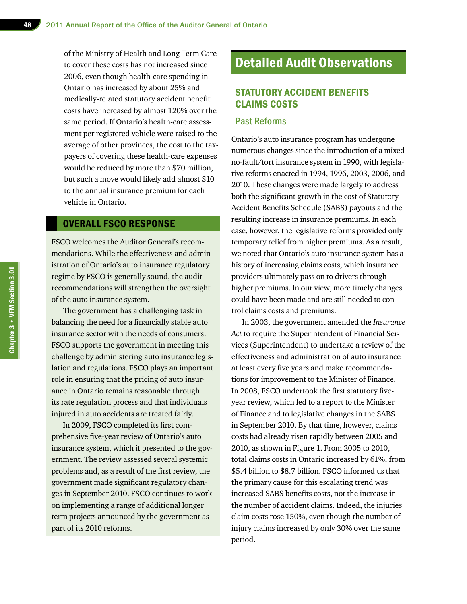of the Ministry of Health and Long-Term Care to cover these costs has not increased since 2006, even though health-care spending in Ontario has increased by about 25% and medically-related statutory accident benefit costs have increased by almost 120% over the same period. If Ontario's health-care assessment per registered vehicle were raised to the average of other provinces, the cost to the taxpayers of covering these health-care expenses would be reduced by more than \$70 million, but such a move would likely add almost \$10 to the annual insurance premium for each vehicle in Ontario.

# OVERALL FSCO RESPONSE

FSCO welcomes the Auditor General's recommendations. While the effectiveness and administration of Ontario's auto insurance regulatory regime by FSCO is generally sound, the audit recommendations will strengthen the oversight of the auto insurance system.

The government has a challenging task in balancing the need for a financially stable auto insurance sector with the needs of consumers. FSCO supports the government in meeting this challenge by administering auto insurance legislation and regulations. FSCO plays an important role in ensuring that the pricing of auto insurance in Ontario remains reasonable through its rate regulation process and that individuals injured in auto accidents are treated fairly.

In 2009, FSCO completed its first comprehensive five-year review of Ontario's auto insurance system, which it presented to the government. The review assessed several systemic problems and, as a result of the first review, the government made significant regulatory changes in September 2010. FSCO continues to work on implementing a range of additional longer term projects announced by the government as part of its 2010 reforms.

# Detailed Audit Observations

# STATUTORY ACCIDENT BENEFITS CLAIMS COSTS

#### Past Reforms

Ontario's auto insurance program has undergone numerous changes since the introduction of a mixed no-fault/tort insurance system in 1990, with legislative reforms enacted in 1994, 1996, 2003, 2006, and 2010. These changes were made largely to address both the significant growth in the cost of Statutory Accident Benefits Schedule (SABS) payouts and the resulting increase in insurance premiums. In each case, however, the legislative reforms provided only temporary relief from higher premiums. As a result, we noted that Ontario's auto insurance system has a history of increasing claims costs, which insurance providers ultimately pass on to drivers through higher premiums. In our view, more timely changes could have been made and are still needed to control claims costs and premiums.

In 2003, the government amended the *Insurance Act* to require the Superintendent of Financial Services (Superintendent) to undertake a review of the effectiveness and administration of auto insurance at least every five years and make recommendations for improvement to the Minister of Finance. In 2008, FSCO undertook the first statutory fiveyear review, which led to a report to the Minister of Finance and to legislative changes in the SABS in September 2010. By that time, however, claims costs had already risen rapidly between 2005 and 2010, as shown in Figure 1. From 2005 to 2010, total claims costs in Ontario increased by 61%, from \$5.4 billion to \$8.7 billion. FSCO informed us that the primary cause for this escalating trend was increased SABS benefits costs, not the increase in the number of accident claims. Indeed, the injuries claim costs rose 150%, even though the number of injury claims increased by only 30% over the same period.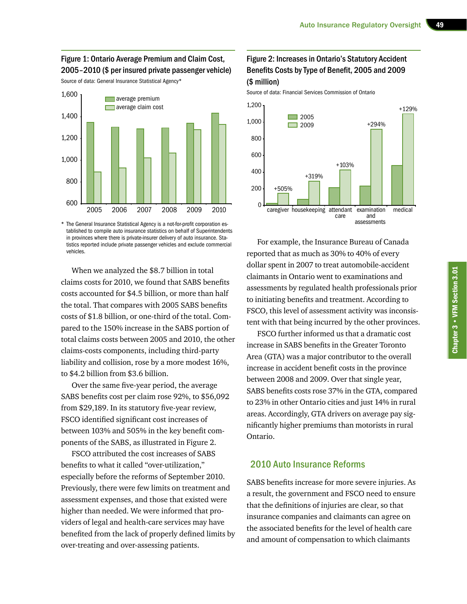#### Figure 1: Ontario Average Premium and Claim Cost, 2005–2010 (\$ per insured private passenger vehicle)

Source of data: General Insurance Statistical Agency\*



\* The General Insurance Statistical Agency is a not-for-profit corporation established to compile auto insurance statistics on behalf of Superintendents in provinces where there is private-insurer delivery of auto insurance. Statistics reported include private passenger vehicles and exclude commercial vehicles.

When we analyzed the \$8.7 billion in total claims costs for 2010, we found that SABS benefits costs accounted for \$4.5 billion, or more than half the total. That compares with 2005 SABS benefits costs of \$1.8 billion, or one-third of the total. Compared to the 150% increase in the SABS portion of total claims costs between 2005 and 2010, the other claims-costs components, including third-party liability and collision, rose by a more modest 16%, to \$4.2 billion from \$3.6 billion.

Over the same five-year period, the average SABS benefits cost per claim rose 92%, to \$56,092 from \$29,189. In its statutory five-year review, FSCO identified significant cost increases of between 103% and 505% in the key benefit components of the SABS, as illustrated in Figure 2.

FSCO attributed the cost increases of SABS benefits to what it called "over-utilization," especially before the reforms of September 2010. Previously, there were few limits on treatment and assessment expenses, and those that existed were higher than needed. We were informed that providers of legal and health-care services may have benefited from the lack of properly defined limits by over-treating and over-assessing patients.

# Figure 2: Increases in Ontario's Statutory Accident Benefits Costs by Type of Benefit, 2005 and 2009 (\$ million)

Source of data: Financial Services Commission of Ontario



For example, the Insurance Bureau of Canada reported that as much as 30% to 40% of every dollar spent in 2007 to treat automobile-accident claimants in Ontario went to examinations and assessments by regulated health professionals prior to initiating benefits and treatment. According to FSCO, this level of assessment activity was inconsistent with that being incurred by the other provinces.

FSCO further informed us that a dramatic cost increase in SABS benefits in the Greater Toronto Area (GTA) was a major contributor to the overall increase in accident benefit costs in the province between 2008 and 2009. Over that single year, SABS benefits costs rose 37% in the GTA, compared to 23% in other Ontario cities and just 14% in rural areas. Accordingly, GTA drivers on average pay significantly higher premiums than motorists in rural Ontario.

#### 2010 Auto Insurance Reforms

SABS benefits increase for more severe injuries. As a result, the government and FSCO need to ensure that the definitions of injuries are clear, so that insurance companies and claimants can agree on the associated benefits for the level of health care and amount of compensation to which claimants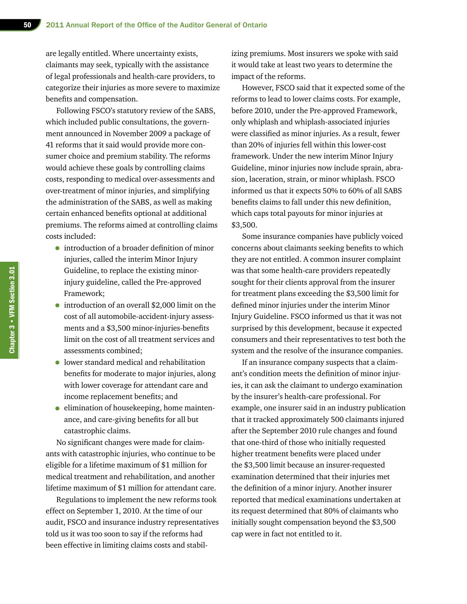are legally entitled. Where uncertainty exists, claimants may seek, typically with the assistance of legal professionals and health-care providers, to categorize their injuries as more severe to maximize benefits and compensation.

Following FSCO's statutory review of the SABS, which included public consultations, the government announced in November 2009 a package of 41 reforms that it said would provide more consumer choice and premium stability. The reforms would achieve these goals by controlling claims costs, responding to medical over-assessments and over-treatment of minor injuries, and simplifying the administration of the SABS, as well as making certain enhanced benefits optional at additional premiums. The reforms aimed at controlling claims costs included:

- introduction of a broader definition of minor injuries, called the interim Minor Injury Guideline, to replace the existing minorinjury guideline, called the Pre-approved Framework;
- introduction of an overall \$2,000 limit on the cost of all automobile-accident-injury assessments and a \$3,500 minor-injuries-benefits limit on the cost of all treatment services and assessments combined;
- lower standard medical and rehabilitation benefits for moderate to major injuries, along with lower coverage for attendant care and income replacement benefits; and
- elimination of housekeeping, home maintenance, and care-giving benefits for all but catastrophic claims.

No significant changes were made for claimants with catastrophic injuries, who continue to be eligible for a lifetime maximum of \$1 million for medical treatment and rehabilitation, and another lifetime maximum of \$1 million for attendant care.

Regulations to implement the new reforms took effect on September 1, 2010. At the time of our audit, FSCO and insurance industry representatives told us it was too soon to say if the reforms had been effective in limiting claims costs and stabilizing premiums. Most insurers we spoke with said it would take at least two years to determine the impact of the reforms.

However, FSCO said that it expected some of the reforms to lead to lower claims costs. For example, before 2010, under the Pre-approved Framework, only whiplash and whiplash-associated injuries were classified as minor injuries. As a result, fewer than 20% of injuries fell within this lower-cost framework. Under the new interim Minor Injury Guideline, minor injuries now include sprain, abrasion, laceration, strain, or minor whiplash. FSCO informed us that it expects 50% to 60% of all SABS benefits claims to fall under this new definition, which caps total payouts for minor injuries at \$3,500.

Some insurance companies have publicly voiced concerns about claimants seeking benefits to which they are not entitled. A common insurer complaint was that some health-care providers repeatedly sought for their clients approval from the insurer for treatment plans exceeding the \$3,500 limit for defined minor injuries under the interim Minor Injury Guideline. FSCO informed us that it was not surprised by this development, because it expected consumers and their representatives to test both the system and the resolve of the insurance companies.

If an insurance company suspects that a claimant's condition meets the definition of minor injuries, it can ask the claimant to undergo examination by the insurer's health-care professional. For example, one insurer said in an industry publication that it tracked approximately 500 claimants injured after the September 2010 rule changes and found that one-third of those who initially requested higher treatment benefits were placed under the \$3,500 limit because an insurer-requested examination determined that their injuries met the definition of a minor injury. Another insurer reported that medical examinations undertaken at its request determined that 80% of claimants who initially sought compensation beyond the \$3,500 cap were in fact not entitled to it.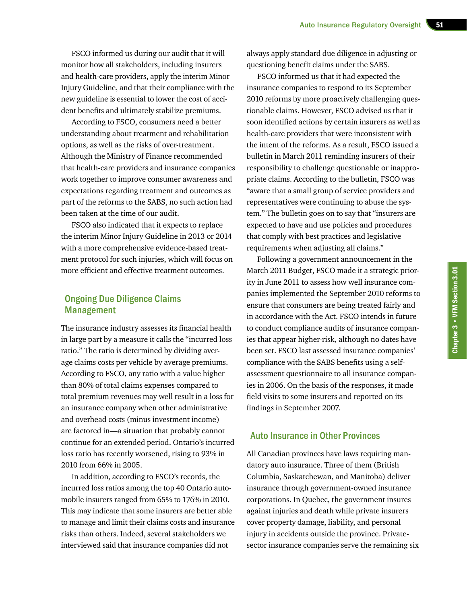FSCO informed us during our audit that it will monitor how all stakeholders, including insurers and health-care providers, apply the interim Minor Injury Guideline, and that their compliance with the new guideline is essential to lower the cost of accident benefits and ultimately stabilize premiums.

According to FSCO, consumers need a better understanding about treatment and rehabilitation options, as well as the risks of over-treatment. Although the Ministry of Finance recommended that health-care providers and insurance companies work together to improve consumer awareness and expectations regarding treatment and outcomes as part of the reforms to the SABS, no such action had been taken at the time of our audit.

FSCO also indicated that it expects to replace the interim Minor Injury Guideline in 2013 or 2014 with a more comprehensive evidence-based treatment protocol for such injuries, which will focus on more efficient and effective treatment outcomes.

## Ongoing Due Diligence Claims Management

The insurance industry assesses its financial health in large part by a measure it calls the "incurred loss ratio." The ratio is determined by dividing average claims costs per vehicle by average premiums. According to FSCO, any ratio with a value higher than 80% of total claims expenses compared to total premium revenues may well result in a loss for an insurance company when other administrative and overhead costs (minus investment income) are factored in—a situation that probably cannot continue for an extended period. Ontario's incurred loss ratio has recently worsened, rising to 93% in 2010 from 66% in 2005.

In addition, according to FSCO's records, the incurred loss ratios among the top 40 Ontario automobile insurers ranged from 65% to 176% in 2010. This may indicate that some insurers are better able to manage and limit their claims costs and insurance risks than others. Indeed, several stakeholders we interviewed said that insurance companies did not

always apply standard due diligence in adjusting or questioning benefit claims under the SABS.

FSCO informed us that it had expected the insurance companies to respond to its September 2010 reforms by more proactively challenging questionable claims. However, FSCO advised us that it soon identified actions by certain insurers as well as health-care providers that were inconsistent with the intent of the reforms. As a result, FSCO issued a bulletin in March 2011 reminding insurers of their responsibility to challenge questionable or inappropriate claims. According to the bulletin, FSCO was "aware that a small group of service providers and representatives were continuing to abuse the system." The bulletin goes on to say that "insurers are expected to have and use policies and procedures that comply with best practices and legislative requirements when adjusting all claims."

Following a government announcement in the March 2011 Budget, FSCO made it a strategic priority in June 2011 to assess how well insurance companies implemented the September 2010 reforms to ensure that consumers are being treated fairly and in accordance with the Act. FSCO intends in future to conduct compliance audits of insurance companies that appear higher-risk, although no dates have been set. FSCO last assessed insurance companies' compliance with the SABS benefits using a selfassessment questionnaire to all insurance companies in 2006. On the basis of the responses, it made field visits to some insurers and reported on its findings in September 2007.

#### Auto Insurance in Other Provinces

All Canadian provinces have laws requiring mandatory auto insurance. Three of them (British Columbia, Saskatchewan, and Manitoba) deliver insurance through government-owned insurance corporations. In Quebec, the government insures against injuries and death while private insurers cover property damage, liability, and personal injury in accidents outside the province. Privatesector insurance companies serve the remaining six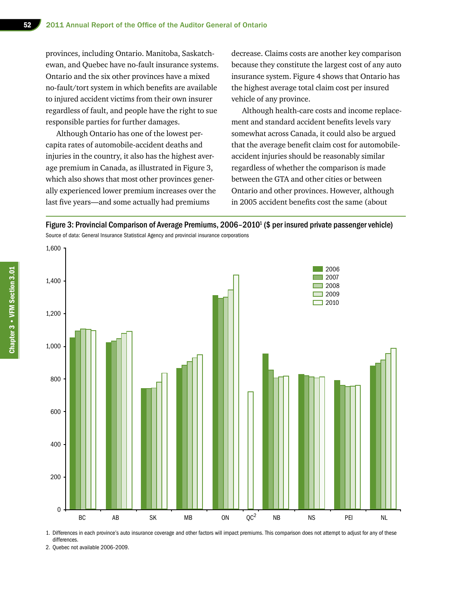provinces, including Ontario. Manitoba, Saskatchewan, and Quebec have no-fault insurance systems. Ontario and the six other provinces have a mixed no-fault/tort system in which benefits are available to injured accident victims from their own insurer regardless of fault, and people have the right to sue responsible parties for further damages.

Although Ontario has one of the lowest percapita rates of automobile-accident deaths and injuries in the country, it also has the highest average premium in Canada, as illustrated in Figure 3, which also shows that most other provinces generally experienced lower premium increases over the last five years—and some actually had premiums

decrease. Claims costs are another key comparison because they constitute the largest cost of any auto insurance system. Figure 4 shows that Ontario has the highest average total claim cost per insured vehicle of any province.

Although health-care costs and income replacement and standard accident benefits levels vary somewhat across Canada, it could also be argued that the average benefit claim cost for automobileaccident injuries should be reasonably similar regardless of whether the comparison is made between the GTA and other cities or between Ontario and other provinces. However, although in 2005 accident benefits cost the same (about

Figure 3: Provincial Comparison of Average Premiums, 2006-2010<sup>1</sup> (\$ per insured private passenger vehicle) Source of data: General Insurance Statistical Agency and provincial insurance corporations



1. Differences in each province's auto insurance coverage and other factors will impact premiums. This comparison does not attempt to adjust for any of these differences.

2. Quebec not available 2006–2009.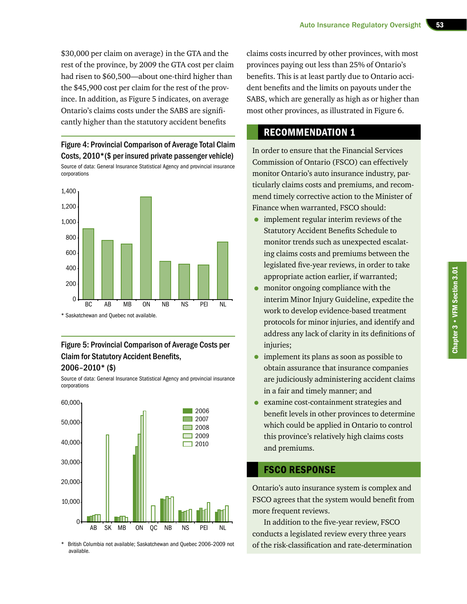\$30,000 per claim on average) in the GTA and the rest of the province, by 2009 the GTA cost per claim had risen to \$60,500—about one-third higher than the \$45,900 cost per claim for the rest of the province. In addition, as Figure 5 indicates, on average Ontario's claims costs under the SABS are significantly higher than the statutory accident benefits

#### Figure 4: Provincial Comparison of Average Total Claim Costs, 2010\*(\$ per insured private passenger vehicle)

Source of data: General Insurance Statistical Agency and provincial insurance corporations



\* Saskatchewan and Quebec not available.

## Figure 5: Provincial Comparison of Average Costs per Claim for Statutory Accident Benefits, 2006–2010\* (\$)

Source of data: General Insurance Statistical Agency and provincial insurance corporations



British Columbia not available; Saskatchewan and Quebec 2006–2009 not available.

claims costs incurred by other provinces, with most provinces paying out less than 25% of Ontario's benefits. This is at least partly due to Ontario accident benefits and the limits on payouts under the SABS, which are generally as high as or higher than most other provinces, as illustrated in Figure 6.

# RECOMMENDATION 1

In order to ensure that the Financial Services Commission of Ontario (FSCO) can effectively monitor Ontario's auto insurance industry, particularly claims costs and premiums, and recommend timely corrective action to the Minister of Finance when warranted, FSCO should:

- implement regular interim reviews of the Statutory Accident Benefits Schedule to monitor trends such as unexpected escalating claims costs and premiums between the legislated five-year reviews, in order to take appropriate action earlier, if warranted;
- monitor ongoing compliance with the interim Minor Injury Guideline, expedite the work to develop evidence-based treatment protocols for minor injuries, and identify and address any lack of clarity in its definitions of injuries;
- implement its plans as soon as possible to obtain assurance that insurance companies are judiciously administering accident claims in a fair and timely manner; and
- examine cost-containment strategies and benefit levels in other provinces to determine which could be applied in Ontario to control this province's relatively high claims costs and premiums.

# FSCO RESPONSE

Ontario's auto insurance system is complex and FSCO agrees that the system would benefit from more frequent reviews.

In addition to the five-year review, FSCO conducts a legislated review every three years of the risk-classification and rate-determination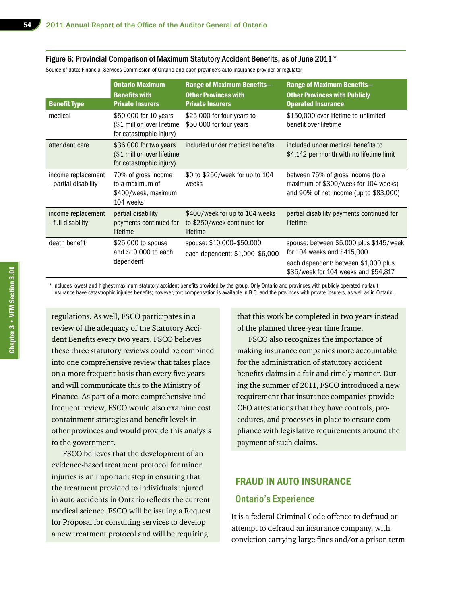#### Figure 6: Provincial Comparison of Maximum Statutory Accident Benefits, as of June 2011\*

Source of data: Financial Services Commission of Ontario and each province's auto insurance provider or regulator

| <b>Benefit Type</b>                       | <b>Ontario Maximum</b><br><b>Benefits with</b><br><b>Private Insurers</b>        | <b>Range of Maximum Benefits-</b><br><b>Other Provinces with</b><br><b>Private Insurers</b> | <b>Range of Maximum Benefits-</b><br><b>Other Provinces with Publicly</b><br><b>Operated Insurance</b>                                                 |
|-------------------------------------------|----------------------------------------------------------------------------------|---------------------------------------------------------------------------------------------|--------------------------------------------------------------------------------------------------------------------------------------------------------|
| medical                                   | \$50,000 for 10 years<br>(\$1 million over lifetime<br>for catastrophic injury)  | \$25,000 for four years to<br>\$50,000 for four years                                       | \$150,000 over lifetime to unlimited<br>benefit over lifetime                                                                                          |
| attendant care                            | \$36,000 for two years<br>(\$1 million over lifetime<br>for catastrophic injury) | included under medical benefits                                                             | included under medical benefits to<br>\$4,142 per month with no lifetime limit                                                                         |
| income replacement<br>-partial disability | 70% of gross income<br>to a maximum of<br>\$400/week, maximum<br>104 weeks       | \$0 to \$250/week for up to 104<br>weeks                                                    | between 75% of gross income (to a<br>maximum of \$300/week for 104 weeks)<br>and 90% of net income (up to $$83,000$ )                                  |
| income replacement<br>-full disability    | partial disability<br>payments continued for<br>lifetime                         | \$400/week for up to 104 weeks<br>to \$250/week continued for<br>lifetime                   | partial disability payments continued for<br>lifetime                                                                                                  |
| death benefit                             | \$25,000 to spouse<br>and \$10,000 to each<br>dependent                          | spouse: \$10,000-\$50,000<br>each dependent: \$1,000-\$6,000                                | spouse: between \$5,000 plus \$145/week<br>for 104 weeks and \$415,000<br>each dependent: between \$1,000 plus<br>\$35/week for 104 weeks and \$54,817 |

\* Includes lowest and highest maximum statutory accident benefits provided by the group. Only Ontario and provinces with publicly operated no-fault insurance have catastrophic injuries benefits; however, tort compensation is available in B.C. and the provinces with private insurers, as well as in Ontario.

regulations. As well, FSCO participates in a review of the adequacy of the Statutory Accident Benefits every two years. FSCO believes these three statutory reviews could be combined into one comprehensive review that takes place on a more frequent basis than every five years and will communicate this to the Ministry of Finance. As part of a more comprehensive and frequent review, FSCO would also examine cost containment strategies and benefit levels in other provinces and would provide this analysis to the government.

FSCO believes that the development of an evidence-based treatment protocol for minor injuries is an important step in ensuring that the treatment provided to individuals injured in auto accidents in Ontario reflects the current medical science. FSCO will be issuing a Request for Proposal for consulting services to develop a new treatment protocol and will be requiring

that this work be completed in two years instead of the planned three-year time frame.

FSCO also recognizes the importance of making insurance companies more accountable for the administration of statutory accident benefits claims in a fair and timely manner. During the summer of 2011, FSCO introduced a new requirement that insurance companies provide CEO attestations that they have controls, procedures, and processes in place to ensure compliance with legislative requirements around the payment of such claims.

#### FRAUD IN AUTO INSURANCE

#### Ontario's Experience

It is a federal Criminal Code offence to defraud or attempt to defraud an insurance company, with conviction carrying large fines and/or a prison term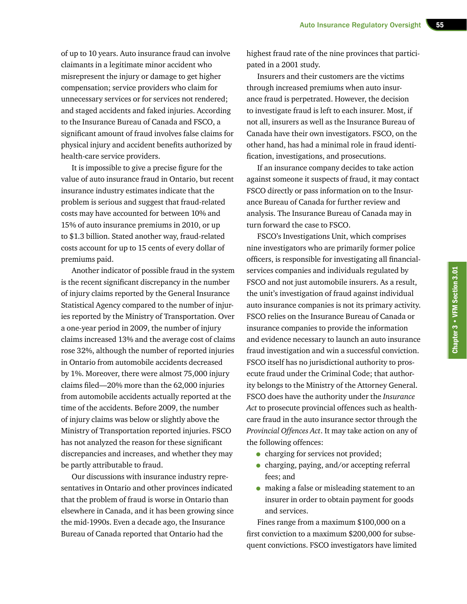of up to 10 years. Auto insurance fraud can involve claimants in a legitimate minor accident who misrepresent the injury or damage to get higher compensation; service providers who claim for unnecessary services or for services not rendered; and staged accidents and faked injuries. According to the Insurance Bureau of Canada and FSCO, a significant amount of fraud involves false claims for physical injury and accident benefits authorized by health-care service providers.

It is impossible to give a precise figure for the value of auto insurance fraud in Ontario, but recent insurance industry estimates indicate that the problem is serious and suggest that fraud-related costs may have accounted for between 10% and 15% of auto insurance premiums in 2010, or up to \$1.3 billion. Stated another way, fraud-related costs account for up to 15 cents of every dollar of premiums paid.

Another indicator of possible fraud in the system is the recent significant discrepancy in the number of injury claims reported by the General Insurance Statistical Agency compared to the number of injuries reported by the Ministry of Transportation. Over a one-year period in 2009, the number of injury claims increased 13% and the average cost of claims rose 32%, although the number of reported injuries in Ontario from automobile accidents decreased by 1%. Moreover, there were almost 75,000 injury claims filed—20% more than the 62,000 injuries from automobile accidents actually reported at the time of the accidents. Before 2009, the number of injury claims was below or slightly above the Ministry of Transportation reported injuries. FSCO has not analyzed the reason for these significant discrepancies and increases, and whether they may be partly attributable to fraud.

Our discussions with insurance industry representatives in Ontario and other provinces indicated that the problem of fraud is worse in Ontario than elsewhere in Canada, and it has been growing since the mid-1990s. Even a decade ago, the Insurance Bureau of Canada reported that Ontario had the

highest fraud rate of the nine provinces that participated in a 2001 study.

Insurers and their customers are the victims through increased premiums when auto insurance fraud is perpetrated. However, the decision to investigate fraud is left to each insurer. Most, if not all, insurers as well as the Insurance Bureau of Canada have their own investigators. FSCO, on the other hand, has had a minimal role in fraud identification, investigations, and prosecutions.

If an insurance company decides to take action against someone it suspects of fraud, it may contact FSCO directly or pass information on to the Insurance Bureau of Canada for further review and analysis. The Insurance Bureau of Canada may in turn forward the case to FSCO.

FSCO's Investigations Unit, which comprises nine investigators who are primarily former police officers, is responsible for investigating all financialservices companies and individuals regulated by FSCO and not just automobile insurers. As a result, the unit's investigation of fraud against individual auto insurance companies is not its primary activity. FSCO relies on the Insurance Bureau of Canada or insurance companies to provide the information and evidence necessary to launch an auto insurance fraud investigation and win a successful conviction. FSCO itself has no jurisdictional authority to prosecute fraud under the Criminal Code; that authority belongs to the Ministry of the Attorney General. FSCO does have the authority under the *Insurance Act* to prosecute provincial offences such as healthcare fraud in the auto insurance sector through the *Provincial Offences Act*. It may take action on any of the following offences:

- charging for services not provided;
- charging, paying, and/or accepting referral fees; and
- making a false or misleading statement to an insurer in order to obtain payment for goods and services.

Fines range from a maximum \$100,000 on a first conviction to a maximum \$200,000 for subsequent convictions. FSCO investigators have limited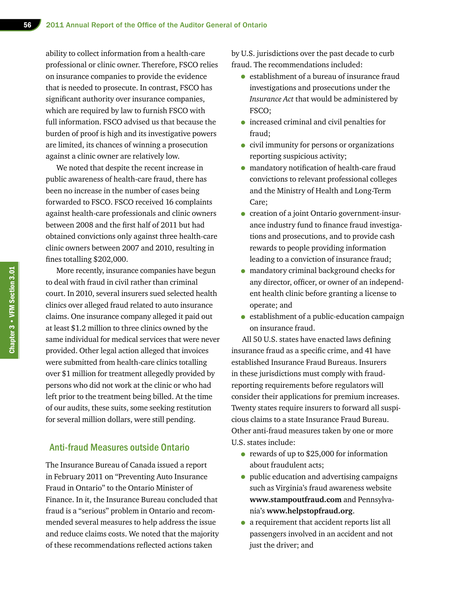ability to collect information from a health-care professional or clinic owner. Therefore, FSCO relies on insurance companies to provide the evidence that is needed to prosecute. In contrast, FSCO has significant authority over insurance companies, which are required by law to furnish FSCO with full information. FSCO advised us that because the burden of proof is high and its investigative powers are limited, its chances of winning a prosecution against a clinic owner are relatively low.

We noted that despite the recent increase in public awareness of health-care fraud, there has been no increase in the number of cases being forwarded to FSCO. FSCO received 16 complaints against health-care professionals and clinic owners between 2008 and the first half of 2011 but had obtained convictions only against three health-care clinic owners between 2007 and 2010, resulting in fines totalling \$202,000.

More recently, insurance companies have begun to deal with fraud in civil rather than criminal court. In 2010, several insurers sued selected health clinics over alleged fraud related to auto insurance claims. One insurance company alleged it paid out at least \$1.2 million to three clinics owned by the same individual for medical services that were never provided. Other legal action alleged that invoices were submitted from health-care clinics totalling over \$1 million for treatment allegedly provided by persons who did not work at the clinic or who had left prior to the treatment being billed. At the time of our audits, these suits, some seeking restitution for several million dollars, were still pending.

#### Anti-fraud Measures outside Ontario

The Insurance Bureau of Canada issued a report in February 2011 on "Preventing Auto Insurance Fraud in Ontario" to the Ontario Minister of Finance. In it, the Insurance Bureau concluded that fraud is a "serious" problem in Ontario and recommended several measures to help address the issue and reduce claims costs. We noted that the majority of these recommendations reflected actions taken

by U.S. jurisdictions over the past decade to curb fraud. The recommendations included:

- establishment of a bureau of insurance fraud investigations and prosecutions under the *Insurance Act* that would be administered by FSCO;
- increased criminal and civil penalties for fraud;
- civil immunity for persons or organizations reporting suspicious activity;
- mandatory notification of health-care fraud convictions to relevant professional colleges and the Ministry of Health and Long-Term Care;
- creation of a joint Ontario government-insurance industry fund to finance fraud investigations and prosecutions, and to provide cash rewards to people providing information leading to a conviction of insurance fraud;
- mandatory criminal background checks for any director, officer, or owner of an independent health clinic before granting a license to operate; and
- establishment of a public-education campaign on insurance fraud.

All 50 U.S. states have enacted laws defining insurance fraud as a specific crime, and 41 have established Insurance Fraud Bureaus. Insurers in these jurisdictions must comply with fraudreporting requirements before regulators will consider their applications for premium increases. Twenty states require insurers to forward all suspicious claims to a state Insurance Fraud Bureau. Other anti-fraud measures taken by one or more U.S. states include:

- rewards of up to \$25,000 for information about fraudulent acts;
- public education and advertising campaigns such as Virginia's fraud awareness website **www.stampoutfraud.com** and Pennsylvania's **www.helpstopfraud.org**.
- a requirement that accident reports list all passengers involved in an accident and not just the driver; and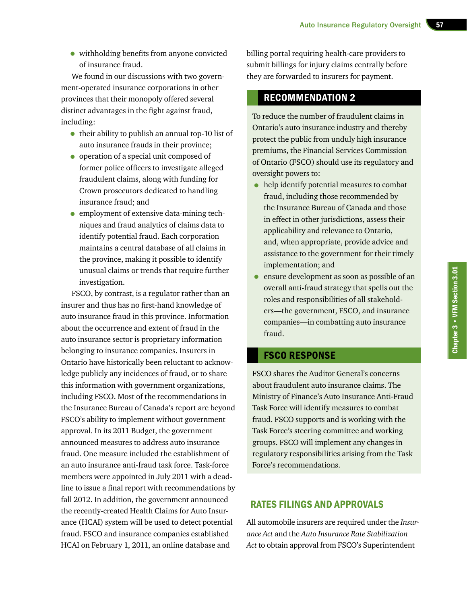• withholding benefits from anyone convicted of insurance fraud.

We found in our discussions with two government-operated insurance corporations in other provinces that their monopoly offered several distinct advantages in the fight against fraud, including:

- their ability to publish an annual top-10 list of auto insurance frauds in their province;
- operation of a special unit composed of former police officers to investigate alleged fraudulent claims, along with funding for Crown prosecutors dedicated to handling insurance fraud; and
- employment of extensive data-mining techniques and fraud analytics of claims data to identify potential fraud. Each corporation maintains a central database of all claims in the province, making it possible to identify unusual claims or trends that require further investigation.

FSCO, by contrast, is a regulator rather than an insurer and thus has no first-hand knowledge of auto insurance fraud in this province. Information about the occurrence and extent of fraud in the auto insurance sector is proprietary information belonging to insurance companies. Insurers in Ontario have historically been reluctant to acknowledge publicly any incidences of fraud, or to share this information with government organizations, including FSCO. Most of the recommendations in the Insurance Bureau of Canada's report are beyond FSCO's ability to implement without government approval. In its 2011 Budget, the government announced measures to address auto insurance fraud. One measure included the establishment of an auto insurance anti-fraud task force. Task-force members were appointed in July 2011 with a deadline to issue a final report with recommendations by fall 2012. In addition, the government announced the recently-created Health Claims for Auto Insurance (HCAI) system will be used to detect potential fraud. FSCO and insurance companies established HCAI on February 1, 2011, an online database and

billing portal requiring health-care providers to submit billings for injury claims centrally before they are forwarded to insurers for payment.

# RECOMMENDATION 2

To reduce the number of fraudulent claims in Ontario's auto insurance industry and thereby protect the public from unduly high insurance premiums, the Financial Services Commission of Ontario (FSCO) should use its regulatory and oversight powers to:

- help identify potential measures to combat fraud, including those recommended by the Insurance Bureau of Canada and those in effect in other jurisdictions, assess their applicability and relevance to Ontario, and, when appropriate, provide advice and assistance to the government for their timely implementation; and
- ensure development as soon as possible of an overall anti-fraud strategy that spells out the roles and responsibilities of all stakeholders—the government, FSCO, and insurance companies—in combatting auto insurance fraud.

# FSCO RESPONSE

FSCO shares the Auditor General's concerns about fraudulent auto insurance claims. The Ministry of Finance's Auto Insurance Anti-Fraud Task Force will identify measures to combat fraud. FSCO supports and is working with the Task Force's steering committee and working groups. FSCO will implement any changes in regulatory responsibilities arising from the Task Force's recommendations.

# RATES FILINGS AND APPROVALS

All automobile insurers are required under the *Insurance Act* and the *Auto Insurance Rate Stabilization Act* to obtain approval from FSCO's Superintendent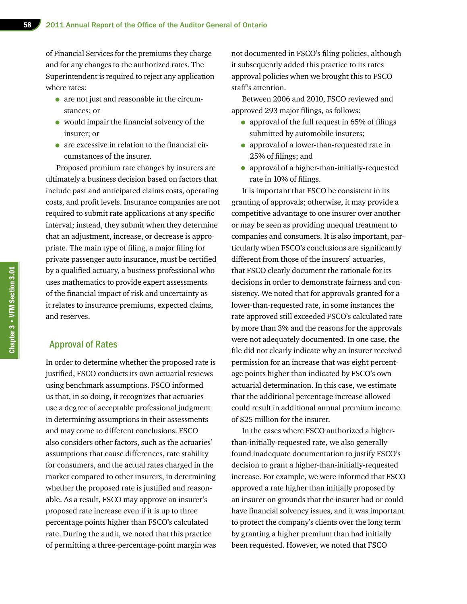of Financial Services for the premiums they charge and for any changes to the authorized rates. The Superintendent is required to reject any application where rates:

- are not just and reasonable in the circumstances; or
- would impair the financial solvency of the insurer; or
- are excessive in relation to the financial circumstances of the insurer.

Proposed premium rate changes by insurers are ultimately a business decision based on factors that include past and anticipated claims costs, operating costs, and profit levels. Insurance companies are not required to submit rate applications at any specific interval; instead, they submit when they determine that an adjustment, increase, or decrease is appropriate. The main type of filing, a major filing for private passenger auto insurance, must be certified by a qualified actuary, a business professional who uses mathematics to provide expert assessments of the financial impact of risk and uncertainty as it relates to insurance premiums, expected claims, and reserves.

#### Approval of Rates

In order to determine whether the proposed rate is justified, FSCO conducts its own actuarial reviews using benchmark assumptions. FSCO informed us that, in so doing, it recognizes that actuaries use a degree of acceptable professional judgment in determining assumptions in their assessments and may come to different conclusions. FSCO also considers other factors, such as the actuaries' assumptions that cause differences, rate stability for consumers, and the actual rates charged in the market compared to other insurers, in determining whether the proposed rate is justified and reasonable. As a result, FSCO may approve an insurer's proposed rate increase even if it is up to three percentage points higher than FSCO's calculated rate. During the audit, we noted that this practice of permitting a three-percentage-point margin was not documented in FSCO's filing policies, although it subsequently added this practice to its rates approval policies when we brought this to FSCO staff's attention.

Between 2006 and 2010, FSCO reviewed and approved 293 major filings, as follows:

- approval of the full request in 65% of filings submitted by automobile insurers;
- approval of a lower-than-requested rate in 25% of filings; and
- approval of a higher-than-initially-requested rate in 10% of filings.

It is important that FSCO be consistent in its granting of approvals; otherwise, it may provide a competitive advantage to one insurer over another or may be seen as providing unequal treatment to companies and consumers. It is also important, particularly when FSCO's conclusions are significantly different from those of the insurers' actuaries, that FSCO clearly document the rationale for its decisions in order to demonstrate fairness and consistency. We noted that for approvals granted for a lower-than-requested rate, in some instances the rate approved still exceeded FSCO's calculated rate by more than 3% and the reasons for the approvals were not adequately documented. In one case, the file did not clearly indicate why an insurer received permission for an increase that was eight percentage points higher than indicated by FSCO's own actuarial determination. In this case, we estimate that the additional percentage increase allowed could result in additional annual premium income of \$25 million for the insurer.

In the cases where FSCO authorized a higherthan-initially-requested rate, we also generally found inadequate documentation to justify FSCO's decision to grant a higher-than-initially-requested increase. For example, we were informed that FSCO approved a rate higher than initially proposed by an insurer on grounds that the insurer had or could have financial solvency issues, and it was important to protect the company's clients over the long term by granting a higher premium than had initially been requested. However, we noted that FSCO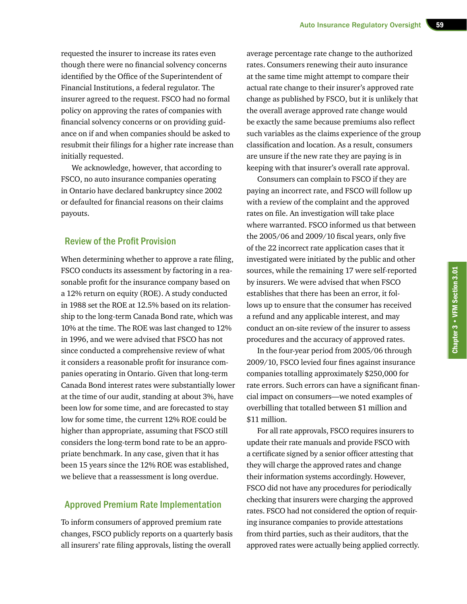requested the insurer to increase its rates even though there were no financial solvency concerns identified by the Office of the Superintendent of Financial Institutions, a federal regulator. The insurer agreed to the request. FSCO had no formal policy on approving the rates of companies with financial solvency concerns or on providing guidance on if and when companies should be asked to resubmit their filings for a higher rate increase than initially requested.

We acknowledge, however, that according to FSCO, no auto insurance companies operating in Ontario have declared bankruptcy since 2002 or defaulted for financial reasons on their claims payouts.

#### Review of the Profit Provision

When determining whether to approve a rate filing, FSCO conducts its assessment by factoring in a reasonable profit for the insurance company based on a 12% return on equity (ROE). A study conducted in 1988 set the ROE at 12.5% based on its relationship to the long-term Canada Bond rate, which was 10% at the time. The ROE was last changed to 12% in 1996, and we were advised that FSCO has not since conducted a comprehensive review of what it considers a reasonable profit for insurance companies operating in Ontario. Given that long-term Canada Bond interest rates were substantially lower at the time of our audit, standing at about 3%, have been low for some time, and are forecasted to stay low for some time, the current 12% ROE could be higher than appropriate, assuming that FSCO still considers the long-term bond rate to be an appropriate benchmark. In any case, given that it has been 15 years since the 12% ROE was established, we believe that a reassessment is long overdue.

#### Approved Premium Rate Implementation

To inform consumers of approved premium rate changes, FSCO publicly reports on a quarterly basis all insurers' rate filing approvals, listing the overall

average percentage rate change to the authorized rates. Consumers renewing their auto insurance at the same time might attempt to compare their actual rate change to their insurer's approved rate change as published by FSCO, but it is unlikely that the overall average approved rate change would be exactly the same because premiums also reflect such variables as the claims experience of the group classification and location. As a result, consumers are unsure if the new rate they are paying is in keeping with that insurer's overall rate approval.

Consumers can complain to FSCO if they are paying an incorrect rate, and FSCO will follow up with a review of the complaint and the approved rates on file. An investigation will take place where warranted. FSCO informed us that between the 2005/06 and 2009/10 fiscal years, only five of the 22 incorrect rate application cases that it investigated were initiated by the public and other sources, while the remaining 17 were self-reported by insurers. We were advised that when FSCO establishes that there has been an error, it follows up to ensure that the consumer has received a refund and any applicable interest, and may conduct an on-site review of the insurer to assess procedures and the accuracy of approved rates.

In the four-year period from 2005/06 through 2009/10, FSCO levied four fines against insurance companies totalling approximately \$250,000 for rate errors. Such errors can have a significant financial impact on consumers—we noted examples of overbilling that totalled between \$1 million and \$11 million.

For all rate approvals, FSCO requires insurers to update their rate manuals and provide FSCO with a certificate signed by a senior officer attesting that they will charge the approved rates and change their information systems accordingly. However, FSCO did not have any procedures for periodically checking that insurers were charging the approved rates. FSCO had not considered the option of requiring insurance companies to provide attestations from third parties, such as their auditors, that the approved rates were actually being applied correctly.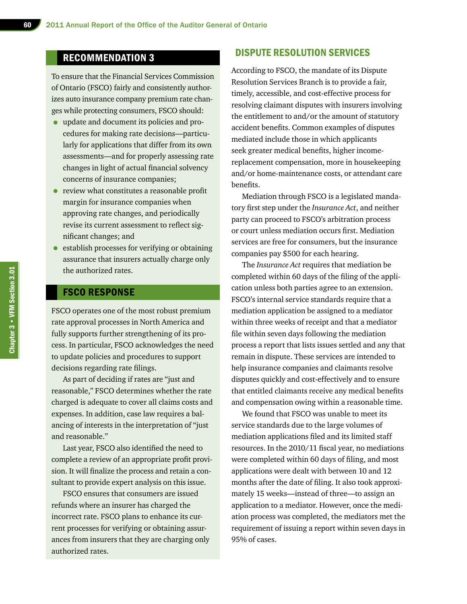# RECOMMENDATION 3

To ensure that the Financial Services Commission of Ontario (FSCO) fairly and consistently authorizes auto insurance company premium rate changes while protecting consumers, FSCO should:

- update and document its policies and procedures for making rate decisions—particularly for applications that differ from its own assessments—and for properly assessing rate changes in light of actual financial solvency concerns of insurance companies;
- review what constitutes a reasonable profit margin for insurance companies when approving rate changes, and periodically revise its current assessment to reflect significant changes; and
- establish processes for verifying or obtaining assurance that insurers actually charge only the authorized rates.

## FSCO RESPONSE

FSCO operates one of the most robust premium rate approval processes in North America and fully supports further strengthening of its process. In particular, FSCO acknowledges the need to update policies and procedures to support decisions regarding rate filings.

As part of deciding if rates are "just and reasonable," FSCO determines whether the rate charged is adequate to cover all claims costs and expenses. In addition, case law requires a balancing of interests in the interpretation of "just and reasonable."

Last year, FSCO also identified the need to complete a review of an appropriate profit provision. It will finalize the process and retain a consultant to provide expert analysis on this issue.

FSCO ensures that consumers are issued refunds where an insurer has charged the incorrect rate. FSCO plans to enhance its current processes for verifying or obtaining assurances from insurers that they are charging only authorized rates.

#### DISPUTE RESOLUTION SERVICES

According to FSCO, the mandate of its Dispute Resolution Services Branch is to provide a fair, timely, accessible, and cost-effective process for resolving claimant disputes with insurers involving the entitlement to and/or the amount of statutory accident benefits. Common examples of disputes mediated include those in which applicants seek greater medical benefits, higher incomereplacement compensation, more in housekeeping and/or home-maintenance costs, or attendant care benefits.

Mediation through FSCO is a legislated mandatory first step under the *Insurance Act*, and neither party can proceed to FSCO's arbitration process or court unless mediation occurs first. Mediation services are free for consumers, but the insurance companies pay \$500 for each hearing.

The *Insurance Act* requires that mediation be completed within 60 days of the filing of the application unless both parties agree to an extension. FSCO's internal service standards require that a mediation application be assigned to a mediator within three weeks of receipt and that a mediator file within seven days following the mediation process a report that lists issues settled and any that remain in dispute. These services are intended to help insurance companies and claimants resolve disputes quickly and cost-effectively and to ensure that entitled claimants receive any medical benefits and compensation owing within a reasonable time.

We found that FSCO was unable to meet its service standards due to the large volumes of mediation applications filed and its limited staff resources. In the 2010/11 fiscal year, no mediations were completed within 60 days of filing, and most applications were dealt with between 10 and 12 months after the date of filing. It also took approximately 15 weeks—instead of three—to assign an application to a mediator. However, once the mediation process was completed, the mediators met the requirement of issuing a report within seven days in 95% of cases.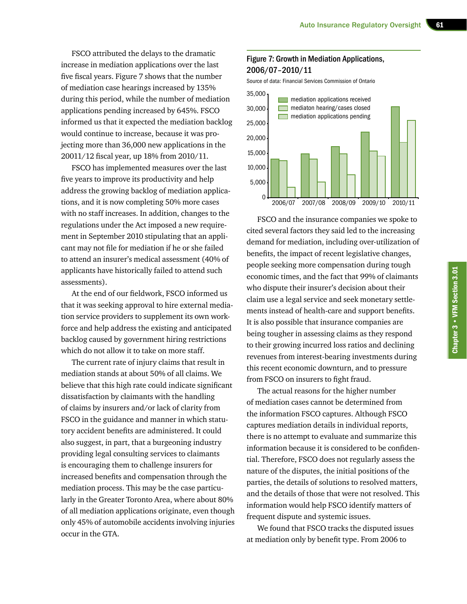FSCO attributed the delays to the dramatic increase in mediation applications over the last five fiscal years. Figure 7 shows that the number of mediation case hearings increased by 135% during this period, while the number of mediation applications pending increased by 645%. FSCO informed us that it expected the mediation backlog would continue to increase, because it was projecting more than 36,000 new applications in the 20011/12 fiscal year, up 18% from 2010/11.

FSCO has implemented measures over the last five years to improve its productivity and help address the growing backlog of mediation applications, and it is now completing 50% more cases with no staff increases. In addition, changes to the regulations under the Act imposed a new requirement in September 2010 stipulating that an applicant may not file for mediation if he or she failed to attend an insurer's medical assessment (40% of applicants have historically failed to attend such assessments).

At the end of our fieldwork, FSCO informed us that it was seeking approval to hire external mediation service providers to supplement its own workforce and help address the existing and anticipated backlog caused by government hiring restrictions which do not allow it to take on more staff.

The current rate of injury claims that result in mediation stands at about 50% of all claims. We believe that this high rate could indicate significant dissatisfaction by claimants with the handling of claims by insurers and/or lack of clarity from FSCO in the guidance and manner in which statutory accident benefits are administered. It could also suggest, in part, that a burgeoning industry providing legal consulting services to claimants is encouraging them to challenge insurers for increased benefits and compensation through the mediation process. This may be the case particularly in the Greater Toronto Area, where about 80% of all mediation applications originate, even though only 45% of automobile accidents involving injuries occur in the GTA.

#### Figure 7: Growth in Mediation Applications, 2006/07–2010/11

Source of data: Financial Services Commission of Ontario



FSCO and the insurance companies we spoke to cited several factors they said led to the increasing demand for mediation, including over-utilization of benefits, the impact of recent legislative changes, people seeking more compensation during tough economic times, and the fact that 99% of claimants who dispute their insurer's decision about their claim use a legal service and seek monetary settlements instead of health-care and support benefits. It is also possible that insurance companies are being tougher in assessing claims as they respond to their growing incurred loss ratios and declining revenues from interest-bearing investments during this recent economic downturn, and to pressure from FSCO on insurers to fight fraud.

The actual reasons for the higher number of mediation cases cannot be determined from the information FSCO captures. Although FSCO captures mediation details in individual reports, there is no attempt to evaluate and summarize this information because it is considered to be confidential. Therefore, FSCO does not regularly assess the nature of the disputes, the initial positions of the parties, the details of solutions to resolved matters, and the details of those that were not resolved. This information would help FSCO identify matters of frequent dispute and systemic issues.

We found that FSCO tracks the disputed issues at mediation only by benefit type. From 2006 to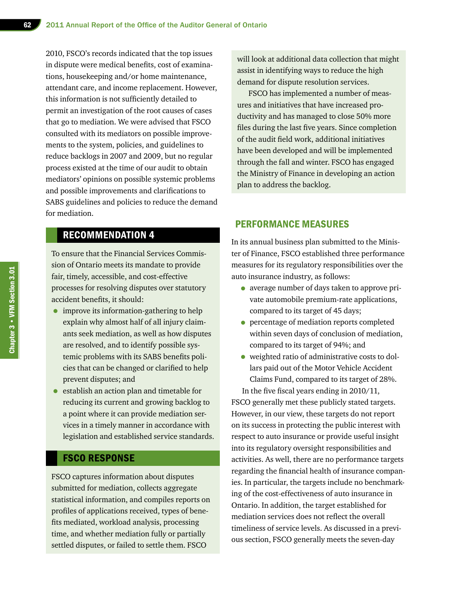2010, FSCO's records indicated that the top issues in dispute were medical benefits, cost of examinations, housekeeping and/or home maintenance, attendant care, and income replacement. However, this information is not sufficiently detailed to permit an investigation of the root causes of cases that go to mediation. We were advised that FSCO consulted with its mediators on possible improvements to the system, policies, and guidelines to reduce backlogs in 2007 and 2009, but no regular process existed at the time of our audit to obtain mediators' opinions on possible systemic problems and possible improvements and clarifications to SABS guidelines and policies to reduce the demand for mediation.

# RECOMMENDATION 4

To ensure that the Financial Services Commission of Ontario meets its mandate to provide fair, timely, accessible, and cost-effective processes for resolving disputes over statutory accident benefits, it should:

- improve its information-gathering to help explain why almost half of all injury claimants seek mediation, as well as how disputes are resolved, and to identify possible systemic problems with its SABS benefits policies that can be changed or clarified to help prevent disputes; and
- establish an action plan and timetable for reducing its current and growing backlog to a point where it can provide mediation services in a timely manner in accordance with legislation and established service standards.

## FSCO RESPONSE

FSCO captures information about disputes submitted for mediation, collects aggregate statistical information, and compiles reports on profiles of applications received, types of benefits mediated, workload analysis, processing time, and whether mediation fully or partially settled disputes, or failed to settle them. FSCO

will look at additional data collection that might assist in identifying ways to reduce the high demand for dispute resolution services.

FSCO has implemented a number of measures and initiatives that have increased productivity and has managed to close 50% more files during the last five years. Since completion of the audit field work, additional initiatives have been developed and will be implemented through the fall and winter. FSCO has engaged the Ministry of Finance in developing an action plan to address the backlog.

#### PERFORMANCE MEASURES

In its annual business plan submitted to the Minister of Finance, FSCO established three performance measures for its regulatory responsibilities over the auto insurance industry, as follows:

- average number of days taken to approve private automobile premium-rate applications, compared to its target of 45 days;
- percentage of mediation reports completed within seven days of conclusion of mediation, compared to its target of 94%; and
- weighted ratio of administrative costs to dollars paid out of the Motor Vehicle Accident Claims Fund, compared to its target of 28%.

In the five fiscal years ending in 2010/11, FSCO generally met these publicly stated targets. However, in our view, these targets do not report on its success in protecting the public interest with respect to auto insurance or provide useful insight into its regulatory oversight responsibilities and activities. As well, there are no performance targets regarding the financial health of insurance companies. In particular, the targets include no benchmarking of the cost-effectiveness of auto insurance in Ontario. In addition, the target established for mediation services does not reflect the overall timeliness of service levels. As discussed in a previous section, FSCO generally meets the seven-day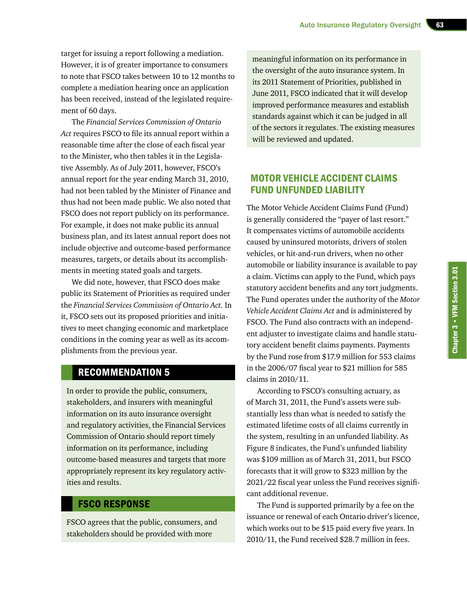target for issuing a report following a mediation. However, it is of greater importance to consumers to note that FSCO takes between 10 to 12 months to complete a mediation hearing once an application has been received, instead of the legislated requirement of 60 days.

The *Financial Services Commission of Ontario Act* requires FSCO to file its annual report within a reasonable time after the close of each fiscal year to the Minister, who then tables it in the Legislative Assembly. As of July 2011, however, FSCO's annual report for the year ending March 31, 2010, had not been tabled by the Minister of Finance and thus had not been made public. We also noted that FSCO does not report publicly on its performance. For example, it does not make public its annual business plan, and its latest annual report does not include objective and outcome-based performance measures, targets, or details about its accomplishments in meeting stated goals and targets.

We did note, however, that FSCO does make public its Statement of Priorities as required under the *Financial Services Commission of Ontario Act.* In it, FSCO sets out its proposed priorities and initiatives to meet changing economic and marketplace conditions in the coming year as well as its accomplishments from the previous year.

# RECOMMENDATION 5

In order to provide the public, consumers, stakeholders, and insurers with meaningful information on its auto insurance oversight and regulatory activities, the Financial Services Commission of Ontario should report timely information on its performance, including outcome-based measures and targets that more appropriately represent its key regulatory activities and results.

#### FSCO RESPONSE

FSCO agrees that the public, consumers, and stakeholders should be provided with more

meaningful information on its performance in the oversight of the auto insurance system. In its 2011 Statement of Priorities, published in June 2011, FSCO indicated that it will develop improved performance measures and establish standards against which it can be judged in all of the sectors it regulates. The existing measures will be reviewed and updated.

# MOTOR VEHICLE ACCIDENT CLAIMS FUND UNFUNDED LIABILITY

The Motor Vehicle Accident Claims Fund (Fund) is generally considered the "payer of last resort." It compensates victims of automobile accidents caused by uninsured motorists, drivers of stolen vehicles, or hit-and-run drivers, when no other automobile or liability insurance is available to pay a claim. Victims can apply to the Fund, which pays statutory accident benefits and any tort judgments. The Fund operates under the authority of the *Motor Vehicle Accident Claims Act* and is administered by FSCO. The Fund also contracts with an independent adjuster to investigate claims and handle statutory accident benefit claims payments. Payments by the Fund rose from \$17.9 million for 553 claims in the 2006/07 fiscal year to \$21 million for 585 claims in 2010/11.

According to FSCO's consulting actuary, as of March 31, 2011, the Fund's assets were substantially less than what is needed to satisfy the estimated lifetime costs of all claims currently in the system, resulting in an unfunded liability. As Figure 8 indicates, the Fund's unfunded liability was \$109 million as of March 31, 2011, but FSCO forecasts that it will grow to \$323 million by the 2021/22 fiscal year unless the Fund receives significant additional revenue.

The Fund is supported primarily by a fee on the issuance or renewal of each Ontario driver's licence, which works out to be \$15 paid every five years. In 2010/11, the Fund received \$28.7 million in fees.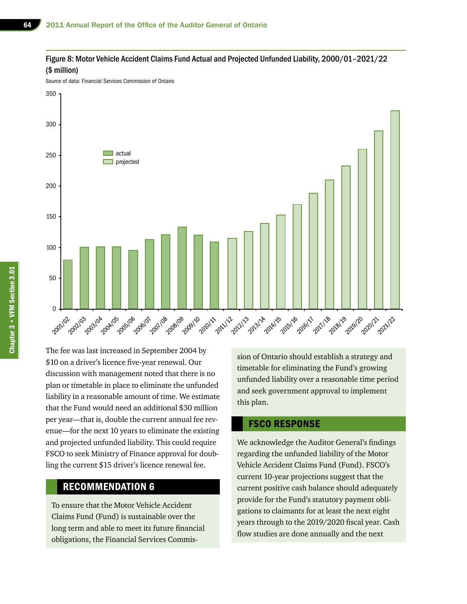#### Figure 8: Motor Vehicle Accident Claims Fund Actual and Projected Unfunded Liability, 2000/01–2021/22 (\$ million)

Source of data: Financial Services Commission of Ontario



The fee was last increased in September 2004 by \$10 on a driver's licence five-year renewal. Our discussion with management noted that there is no plan or timetable in place to eliminate the unfunded liability in a reasonable amount of time. We estimate that the Fund would need an additional \$30 million per year—that is, double the current annual fee revenue—for the next 10 years to eliminate the existing and projected unfunded liability. This could require FSCO to seek Ministry of Finance approval for doubling the current \$15 driver's licence renewal fee.

## RECOMMENDATION 6

To ensure that the Motor Vehicle Accident Claims Fund (Fund) is sustainable over the long term and able to meet its future financial obligations, the Financial Services Commission of Ontario should establish a strategy and timetable for eliminating the Fund's growing unfunded liability over a reasonable time period and seek government approval to implement this plan.

#### FSCO RESPONSE

We acknowledge the Auditor General's findings regarding the unfunded liability of the Motor Vehicle Accident Claims Fund (Fund). FSCO's current 10-year projections suggest that the current positive cash balance should adequately provide for the Fund's statutory payment obligations to claimants for at least the next eight years through to the 2019/2020 fiscal year. Cash flow studies are done annually and the next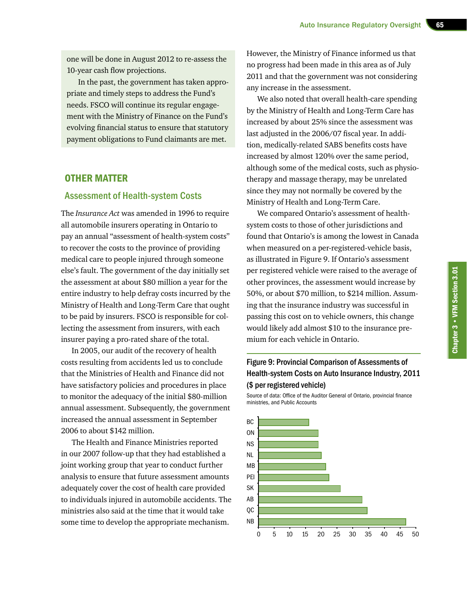one will be done in August 2012 to re-assess the 10-year cash flow projections.

In the past, the government has taken appropriate and timely steps to address the Fund's needs. FSCO will continue its regular engagement with the Ministry of Finance on the Fund's evolving financial status to ensure that statutory payment obligations to Fund claimants are met.

#### OTHER MATTER

#### Assessment of Health-system Costs

The *Insurance Act* was amended in 1996 to require all automobile insurers operating in Ontario to pay an annual "assessment of health-system costs" to recover the costs to the province of providing medical care to people injured through someone else's fault. The government of the day initially set the assessment at about \$80 million a year for the entire industry to help defray costs incurred by the Ministry of Health and Long-Term Care that ought to be paid by insurers. FSCO is responsible for collecting the assessment from insurers, with each insurer paying a pro-rated share of the total.

In 2005, our audit of the recovery of health costs resulting from accidents led us to conclude that the Ministries of Health and Finance did not have satisfactory policies and procedures in place to monitor the adequacy of the initial \$80-million annual assessment. Subsequently, the government increased the annual assessment in September 2006 to about \$142 million.

The Health and Finance Ministries reported in our 2007 follow-up that they had established a joint working group that year to conduct further analysis to ensure that future assessment amounts adequately cover the cost of health care provided to individuals injured in automobile accidents. The ministries also said at the time that it would take some time to develop the appropriate mechanism.

However, the Ministry of Finance informed us that no progress had been made in this area as of July 2011 and that the government was not considering any increase in the assessment.

We also noted that overall health-care spending by the Ministry of Health and Long-Term Care has increased by about 25% since the assessment was last adjusted in the 2006/07 fiscal year. In addition, medically-related SABS benefits costs have increased by almost 120% over the same period, although some of the medical costs, such as physiotherapy and massage therapy, may be unrelated since they may not normally be covered by the Ministry of Health and Long-Term Care.

We compared Ontario's assessment of healthsystem costs to those of other jurisdictions and found that Ontario's is among the lowest in Canada when measured on a per-registered-vehicle basis, as illustrated in Figure 9. If Ontario's assessment per registered vehicle were raised to the average of other provinces, the assessment would increase by 50%, or about \$70 million, to \$214 million. Assuming that the insurance industry was successful in passing this cost on to vehicle owners, this change would likely add almost \$10 to the insurance premium for each vehicle in Ontario.

#### Figure 9: Provincial Comparison of Assessments of Health-system Costs on Auto Insurance Industry, 2011 (\$ per registered vehicle)

Source of data: Office of the Auditor General of Ontario, provincial finance ministries, and Public Accounts